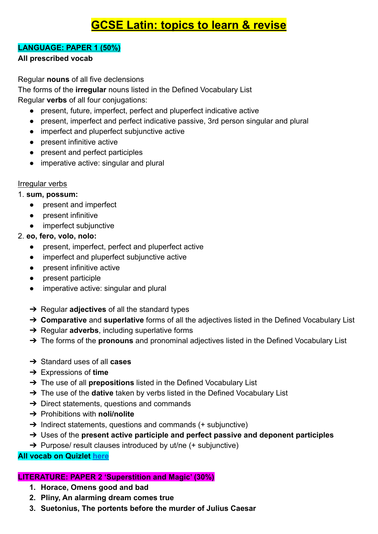# **GCSE Latin: topics to learn & revise**

#### **LANGUAGE: PAPER 1 (50%)**

#### **All prescribed vocab**

Regular **nouns** of all five declensions

The forms of the **irregular** nouns listed in the Defined Vocabulary List Regular **verbs** of all four conjugations:

- present, future, imperfect, perfect and pluperfect indicative active
- present, imperfect and perfect indicative passive, 3rd person singular and plural
- imperfect and pluperfect subjunctive active
- present infinitive active
- present and perfect participles
- imperative active: singular and plural

#### Irregular verbs

#### 1. **sum, possum:**

- present and imperfect
- present infinitive
- imperfect subjunctive

# 2. **eo, fero, volo, nolo:**

- present, imperfect, perfect and pluperfect active
- imperfect and pluperfect subjunctive active
- present infinitive active
- present participle
- imperative active: singular and plural
- ➔ Regular **adjectives** of all the standard types
- ➔ **Comparative** and **superlative** forms of all the adjectives listed in the Defined Vocabulary List
- ➔ Regular **adverbs**, including superlative forms
- ➔ The forms of the **pronouns** and pronominal adjectives listed in the Defined Vocabulary List
- ➔ Standard uses of all **cases**
- ➔ Expressions of **time**
- ➔ The use of all **prepositions** listed in the Defined Vocabulary List
- ➔ The use of the **dative** taken by verbs listed in the Defined Vocabulary List
- $\rightarrow$  Direct statements, questions and commands
- ➔ Prohibitions with **noli/nolite**
- $\rightarrow$  Indirect statements, questions and commands (+ subjunctive)
- ➔ Uses of the **present active participle and perfect passive and deponent participles**
- → Purpose/ result clauses introduced by ut/ne (+ subjunctive)

# **All vocab on Quizlet [here](https://quizlet.com/BlatchLatin/folders/latin-vocab)**

# **LITERATURE: PAPER 2 'Superstition and Magic' (30%)**

- **1. Horace, Omens good and bad**
- **2. Pliny, An alarming dream comes true**
- **3. Suetonius, The portents before the murder of Julius Caesar**